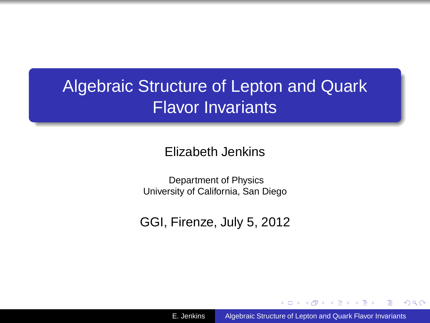# Algebraic Structure of Lepton and Quark Flavor Invariants

Elizabeth Jenkins

Department of Physics University of California, San Diego

GGI, Firenze, July 5, 2012

(母) (目)

<span id="page-0-0"></span> $QQ$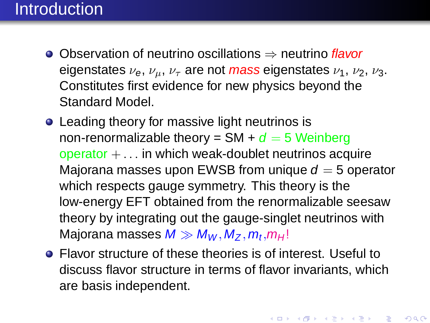## **Introduction**

- Observation of neutrino oscillations ⇒ neutrino flavor eigenstates  $\nu_e$ ,  $\nu_\mu$ ,  $\nu_\tau$  are not mass eigenstates  $\nu_1$ ,  $\nu_2$ ,  $\nu_3$ . Constitutes first evidence for new physics beyond the Standard Model.
- Leading theory for massive light neutrinos is non-renormalizable theory =  $SM + d = 5$  Weinberg operator  $+ \dots$  in which weak-doublet neutrinos acquire Majorana masses upon EWSB from unique  $d = 5$  operator which respects gauge symmetry. This theory is the low-energy EFT obtained from the renormalizable seesaw theory by integrating out the gauge-singlet neutrinos with Majorana masses  $M \gg M_W, M_Z, m_t, m_H!$
- Flavor structure of these theories is of interest. Useful to discuss flavor structure in terms of flavor invariants, which are basis independent.

K ロ ▶ K @ ▶ K 할 ▶ K 할 ▶ 『 할 │ ◆ 9 Q @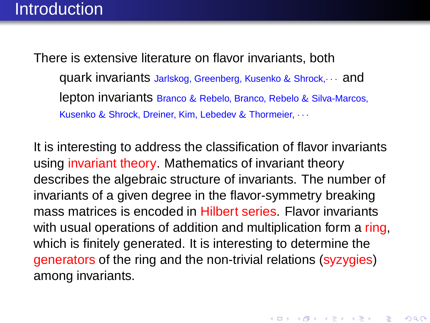There is extensive literature on flavor invariants, both quark invariants Jarlskog, Greenberg, Kusenko & Shrock,· · · and lepton invariants Branco & Rebelo, Branco, Rebelo & Silva-Marcos, Kusenko & Shrock, Dreiner, Kim, Lebedev & Thormeier, · · ·

It is interesting to address the classification of flavor invariants using invariant theory. Mathematics of invariant theory describes the algebraic structure of invariants. The number of invariants of a given degree in the flavor-symmetry breaking mass matrices is encoded in Hilbert series. Flavor invariants with usual operations of addition and multiplication form a ring, which is finitely generated. It is interesting to determine the generators of the ring and the non-trivial relations (syzygies) among invariants.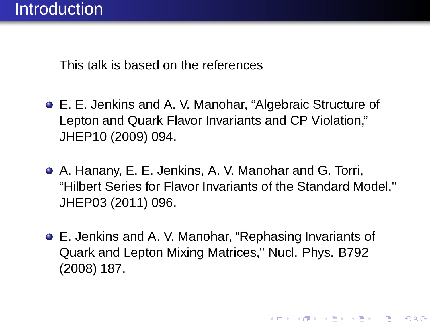This talk is based on the references

- E. E. Jenkins and A. V. Manohar, "Algebraic Structure of Lepton and Quark Flavor Invariants and CP Violation," JHEP10 (2009) 094.
- A. Hanany, E. E. Jenkins, A. V. Manohar and G. Torri, "Hilbert Series for Flavor Invariants of the Standard Model," JHEP03 (2011) 096.
- E. Jenkins and A. V. Manohar, "Rephasing Invariants of Quark and Lepton Mixing Matrices," Nucl. Phys. B792 (2008) 187.

K ロ K K @ K (K 플 K (플 K ) 를 .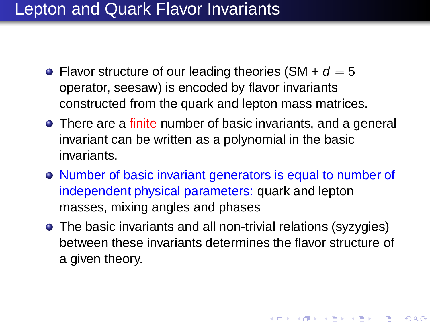## Lepton and Quark Flavor Invariants

- Flavor structure of our leading theories (SM +  $d = 5$ ) operator, seesaw) is encoded by flavor invariants constructed from the quark and lepton mass matrices.
- **•** There are a finite number of basic invariants, and a general invariant can be written as a polynomial in the basic invariants.
- Number of basic invariant generators is equal to number of independent physical parameters: quark and lepton masses, mixing angles and phases
- The basic invariants and all non-trivial relations (syzygies) between these invariants determines the flavor structure of a given theory.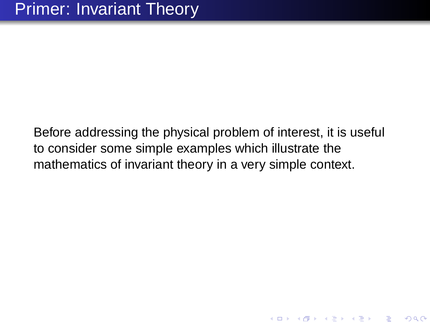Before addressing the physical problem of interest, it is useful to consider some simple examples which illustrate the mathematics of invariant theory in a very simple context.

K ロ K K @ K K B K K B K ( B K )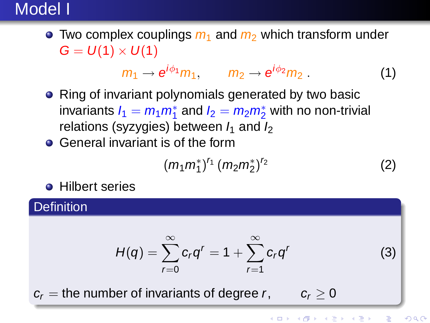## Model I

 $\bullet$  Two complex couplings  $m_1$  and  $m_2$  which transform under  $G = U(1) \times U(1)$ 

$$
m_1 \rightarrow e^{i\phi_1} m_1, \qquad m_2 \rightarrow e^{i\phi_2} m_2. \qquad (1)
$$

- Ring of invariant polynomials generated by two basic invariants  $I_1 = m_1 m_1^*$  and  $I_2 = m_2 m_2^*$  with no non-trivial relations (syzygies) between  $I_1$  and  $I_2$
- **General invariant is of the form**

$$
(m_1m_1^*)^{r_1}(m_2m_2^*)^{r_2} \tag{2}
$$

**•** Hilbert series

**Definition** 

$$
H(q) = \sum_{r=0}^{\infty} c_r q^r = 1 + \sum_{r=1}^{\infty} c_r q^r
$$
 (3)

 $c_r$  = the number of invariants of degree r,  $c_r > 0$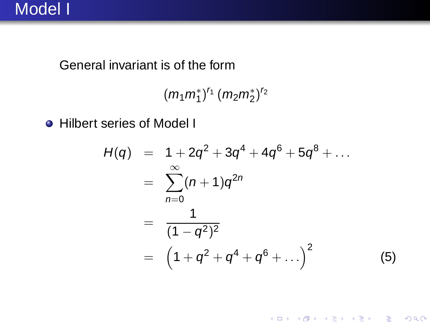#### General invariant is of the form

```
(m_1m_1^*)^{r_1}(m_2m_2^*)^{r_2}
```
Hilbert series of Model I

$$
H(q) = 1 + 2q^{2} + 3q^{4} + 4q^{6} + 5q^{8} + ...
$$
  
\n
$$
= \sum_{n=0}^{\infty} (n+1)q^{2n}
$$
  
\n
$$
= \frac{1}{(1-q^{2})^{2}}
$$
  
\n
$$
= (1+q^{2} + q^{4} + q^{6} + ...)^{2}
$$
 (5)

K ロ ▶ K 레 ▶ K 레 ≯ K 레 ≯ X - W D A Q Q Q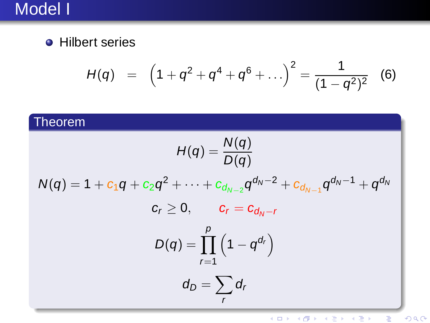# Model I

**•** Hilbert series

$$
H(q) = (1 + q^2 + q^4 + q^6 + \ldots)^2 = \frac{1}{(1 - q^2)^2}
$$
 (6)

#### Theorem

$$
H(q) = \frac{N(q)}{D(q)}
$$
  

$$
N(q) = 1 + c_1 q + c_2 q^2 + \dots + c_{d_{N-2}} q^{d_N - 2} + c_{d_{N-1}} q^{d_N - 1} + q^{d_N}
$$
  

$$
c_r \ge 0, \qquad c_r = c_{d_N - r}
$$
  

$$
D(q) = \prod_{r=1}^p (1 - q^{d_r})
$$
  

$$
d_D = \sum_r d_r
$$

メロメ メ都 メイ君メ メ君メ  $E = 990$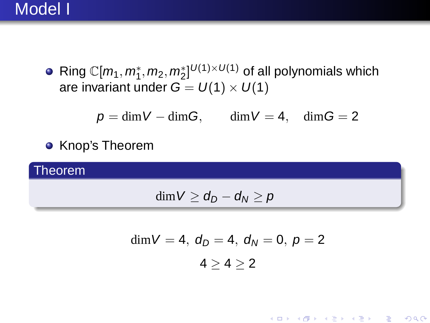#### Model I

Ring  $\mathbb{C}[m_1,m_1^*,m_2,m_2^*]^{\mathcal{U}(1)\times\mathcal{U}(1)}$  of all polynomials which are invariant under  $G = U(1) \times U(1)$ 

$$
p=\dim V-\dim G,\qquad \dim V=4,\quad \dim G=2
$$

**• Knop's Theorem** 

Theorem

$$
\dim V \geq d_D - d_N \geq p
$$

$$
\dim V=4,\ d_D=4,\ d_N=0,\ p=2\\ 4\geq 4\geq 2
$$

K ロ K K @ K (K 플 K (플 K ) 를 .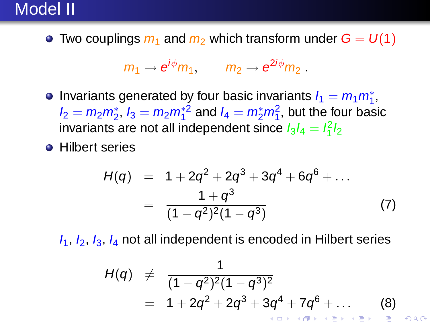## Model II

• Two couplings  $m_1$  and  $m_2$  which transform under  $G = U(1)$ 

$$
m_1 \rightarrow e^{i\phi} m_1
$$
,  $m_2 \rightarrow e^{2i\phi} m_2$ .

- Invariants generated by four basic invariants  $I_1 = m_1 m_1^*$ ,  $I_2 = m_2 m_2^*$ ,  $I_3 = m_2 m_1^*{}^2$  and  $I_4 = m_2^* m_1^2$ , but the four basic invariants are not all independent since  $l_3l_4=l_1^2l_2$
- **•** Hilbert series

$$
H(q) = 1 + 2q^{2} + 2q^{3} + 3q^{4} + 6q^{6} + ...
$$
  
= 
$$
\frac{1 + q^{3}}{(1 - q^{2})^{2}(1 - q^{3})}
$$
 (7)

 $I_1$ ,  $I_2$ ,  $I_3$ ,  $I_4$  not all independent is encoded in Hilbert series

$$
H(q) \neq \frac{1}{(1-q^2)^2(1-q^3)^2}
$$
  
= 1 + 2q^2 + 2q^3 + 3q^4 + 7q^6 + ... (8)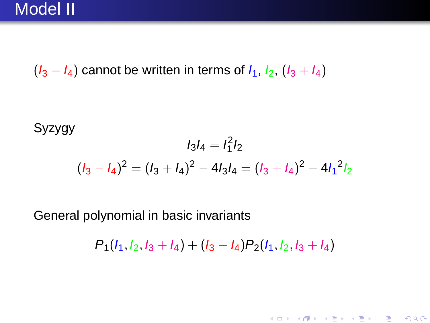$(I_3 - I_4)$  cannot be written in terms of  $I_1$ ,  $I_2$ ,  $(I_3 + I_4)$ 

Syzygy

$$
l_3 l_4 = l_1^2 l_2
$$
  

$$
(l_3 - l_4)^2 = (l_3 + l_4)^2 - 4l_3 l_4 = (l_3 + l_4)^2 - 4l_1^2 l_2
$$

General polynomial in basic invariants

 $P_1(l_1, l_2, l_3 + l_4) + (l_3 - l_4)P_2(l_1, l_2, l_3 + l_4)$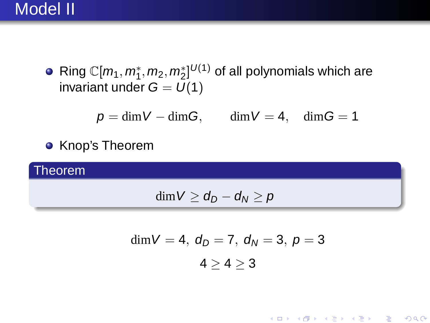## Model II

Ring  $\mathbb{C}[m_1,m_1^*,m_2,m_2^*]^{U(1)}$  of all polynomials which are invariant under  $G = U(1)$ 

$$
p=\dim V-\dim G,\qquad \dim V=4,\quad \dim G=1
$$

**• Knop's Theorem** 

Theorem

$$
\dim V \geq d_D - d_N \geq p
$$

$$
\dim V = 4, \ d_D = 7, \ d_N = 3, \ p = 3
$$

$$
4 \ge 4 \ge 3
$$

★ ロメ (4 御) > (唐) > (唐) → [唐]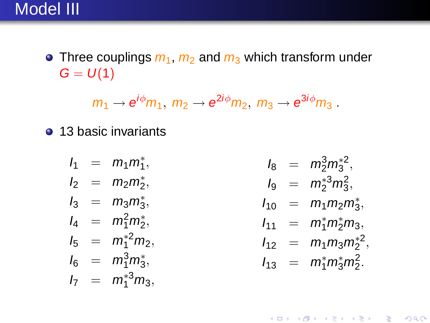• Three couplings  $m_1$ ,  $m_2$  and  $m_3$  which transform under  $G = U(1)$ 

$$
m_1 \rightarrow e^{i\phi} m_1, m_2 \rightarrow e^{2i\phi} m_2, m_3 \rightarrow e^{3i\phi} m_3.
$$

• 13 basic invariants

$$
l_1 = m_1 m_1^*,
$$
  
\n
$$
l_2 = m_2 m_2^*,
$$
  
\n
$$
l_3 = m_3 m_3^*,
$$
  
\n
$$
l_4 = m_1^2 m_2^*,
$$
  
\n
$$
l_5 = m_1^{*2} m_2^*,
$$
  
\n
$$
l_6 = m_1^3 m_3^*,
$$
  
\n
$$
l_7 = m_1^{*3} m_3^*,
$$

$$
l_8 = m_2^3 m_3^{*2},
$$
  
\n
$$
l_9 = m_2^{*3} m_3^2,
$$
  
\n
$$
l_{10} = m_1 m_2 m_3^{*},
$$
  
\n
$$
l_{11} = m_1^{*} m_2^{*} m_3,
$$
  
\n
$$
l_{12} = m_1 m_3 m_2^{*2},
$$
  
\n
$$
l_{13} = m_1^{*} m_3^{*} m_2^{2}.
$$

メロト メ御 ドメ きょうくぼう こぼう  $299$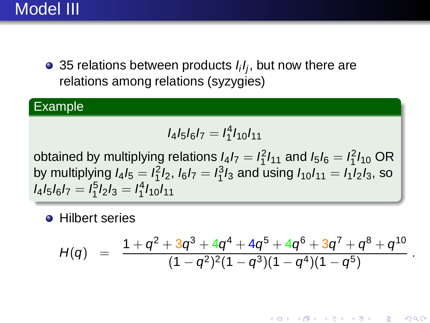## Model III

35 relations between products  $I_iI_j$ , but now there are relations among relations (syzygies)

#### Example

$$
I_4I_5I_6I_7=I_1^4I_{10}I_{11}
$$

obtained by multiplying relations  $I_4I_7 = I_1^2I_{11}$  and  $I_5I_6 = I_1^2I_{10}$  OR by multiplying  $l_4l_5 = l_1^2l_2$ ,  $l_6l_7 = l_1^3l_3$  and using  $l_{10}l_{11} = l_1l_2l_3$ , so  $I_4I_5I_6I_7=I_1^5I_2I_3=I_1^4I_{10}I_{11}$ 

**•** Hilbert series

$$
H(q) = \frac{1+q^2+3q^3+4q^4+4q^5+4q^6+3q^7+q^8+q^{10}}{(1-q^2)^2(1-q^3)(1-q^4)(1-q^5)}
$$

.

 $299$ 

K ロ K K @ K K 용 K K 용 K → 통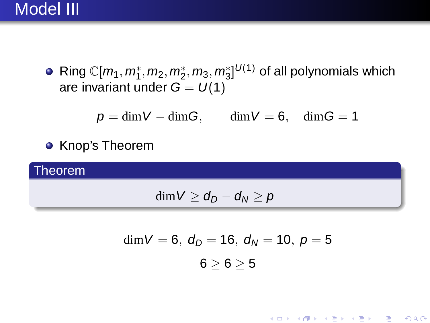## Model III

Ring  $\mathbb{C}[m_1,m_1^*,m_2,m_2^*,m_3,m_3^*]^{U(1)}$  of all polynomials which are invariant under  $G = U(1)$ 

$$
p=\dim V-\dim G,\qquad \dim V=6,\quad \dim G=1
$$

**• Knop's Theorem** 

Theorem

$$
\dim V \geq d_D - d_N \geq p
$$

$$
\dim V = 6, \ d_D = 16, \ d_N = 10, \ p = 5
$$

$$
6 \ge 6 \ge 5
$$

★ ロ ▶ → 御 ▶ → (君 ▶ → 君 ▶ → 君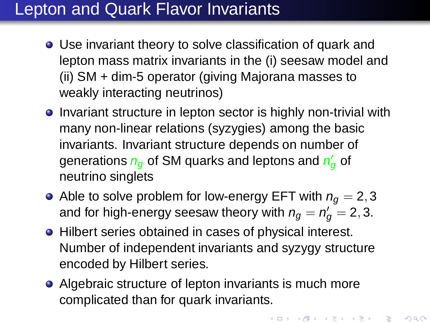## Lepton and Quark Flavor Invariants

- Use invariant theory to solve classification of quark and lepton mass matrix invariants in the (i) seesaw model and (ii) SM + dim-5 operator (giving Majorana masses to weakly interacting neutrinos)
- **.** Invariant structure in lepton sector is highly non-trivial with many non-linear relations (syzygies) among the basic invariants. Invariant structure depends on number of generations  $n_g$  of SM quarks and leptons and  $n_g^{\prime}$  of neutrino singlets
- Able to solve problem for low-energy EFT with  $n_q = 2, 3$ and for high-energy seesaw theory with  $n_g = n'_g = 2, 3.$
- Hilbert series obtained in cases of physical interest. Number of independent invariants and syzygy structure encoded by Hilbert series.
- Algebraic structure of lepton invariants is much more complicated than for quark invariants.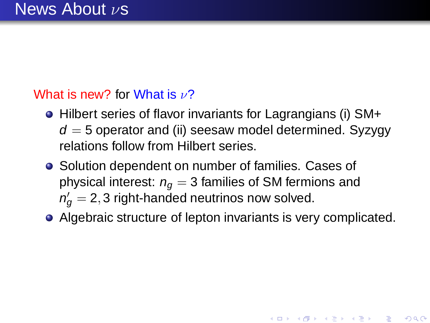#### What is new? for What is  $\nu$ ?

- Hilbert series of flavor invariants for Lagrangians (i) SM+  $d = 5$  operator and (ii) seesaw model determined. Syzygy relations follow from Hilbert series.
- Solution dependent on number of families. Cases of physical interest:  $n_q = 3$  families of SM fermions and  $n'_g=$  2, 3 right-handed neutrinos now solved.
- Algebraic structure of lepton invariants is very complicated.

メロト メ御 ドメ きょうくぼう こぼう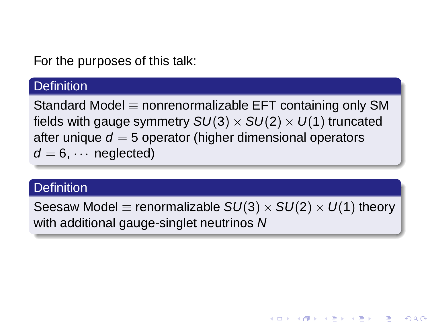For the purposes of this talk:

#### **Definition**

Standard Model  $\equiv$  nonrenormalizable EFT containing only SM fields with gauge symmetry  $SU(3) \times SU(2) \times U(1)$  truncated after unique  $d = 5$  operator (higher dimensional operators  $d = 6$ .  $\cdots$  neglected)

#### **Definition**

Seesaw Model  $\equiv$  renormalizable  $SU(3) \times SU(2) \times U(1)$  theory with additional gauge-singlet neutrinos N

K ロ K K @ K K 용 K K 용 K → 통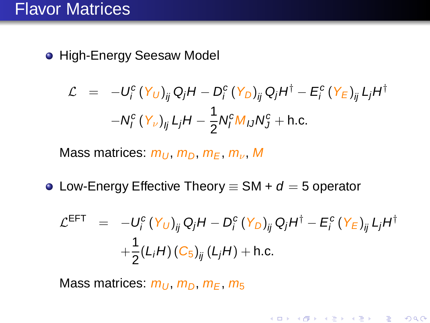**• High-Energy Seesaw Model** 

$$
\mathcal{L} = -U_i^c (Y_U)_{ij} Q_j H - D_i^c (Y_D)_{ij} Q_j H^{\dagger} - E_i^c (Y_E)_{ij} L_j H^{\dagger}
$$

$$
-N_i^c (Y_v)_{ij} L_j H - \frac{1}{2} N_i^c M_{IJ} N_J^c + \text{h.c.}
$$

Mass matrices:  $m_U$ ,  $m_D$ ,  $m_F$ ,  $m_v$ , M

 $\bullet$  Low-Energy Effective Theory  $\equiv$  SM +  $d = 5$  operator

$$
\mathcal{L}^{\text{EFT}} = -U_i^c \left( Y_U \right)_{ij} Q_j H - D_i^c \left( Y_D \right)_{ij} Q_j H^{\dagger} - E_i^c \left( Y_E \right)_{ij} L_j H^{\dagger} + \frac{1}{2} (L_i H) \left( C_5 \right)_{ij} (L_j H) + \text{h.c.}
$$

メロト メ御 ドメ きょうくぼう こぼう

 $299$ 

Mass matrices:  $m_U$ ,  $m_D$ ,  $m_F$ ,  $m_5$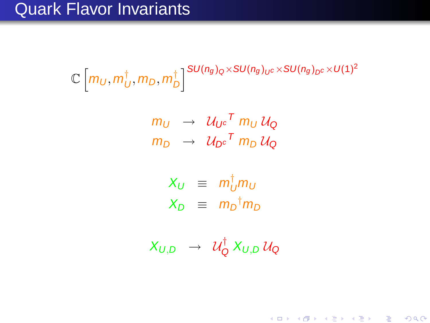## Quark Flavor Invariants

 $\mathbb{C} \left | \textit{m}_{\textit{U}}, \textit{m}_{\textit{L}}^{\dagger} \right.$  $_U^\dagger, m_D, m_L^\dagger$  $\int\limits_{D}^{\uparrow} \int\limits_{0}^{S} SU(n_{g})_{Q} \times SU(n_{g})_{U^{C}} \times SU(n_{g})_{D^{C}} \times U(1)^{2}$ 

$$
m_U \rightarrow \mathcal{U}_{U^c}^T m_U \mathcal{U}_Q
$$
  

$$
m_D \rightarrow \mathcal{U}_{D^c}^T m_D \mathcal{U}_Q
$$

$$
X_U \equiv m_U^{\dagger} m_U
$$
  

$$
X_D \equiv m_D^{\dagger} m_D
$$

 $X_{U,D}$   $\;\rightarrow\;\;{\cal U}^{\dagger}_{\sf C}$  $\mathcal{C}^{\mathsf{T}}_{\mathsf{Q}}$   $X_{\mathsf{U},\mathsf{D}}$   $\mathcal{U}_{\mathsf{Q}}$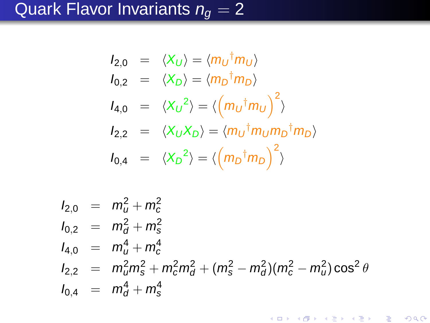# Quark Flavor Invariants  $n_g = 2$

$$
I_{2,0} = \langle X_U \rangle = \langle m_U^{\dagger} m_U \rangle
$$
  
\n
$$
I_{0,2} = \langle X_D \rangle = \langle m_D^{\dagger} m_D \rangle
$$
  
\n
$$
I_{4,0} = \langle X_U^2 \rangle = \langle \left( m_U^{\dagger} m_U \right)^2 \rangle
$$
  
\n
$$
I_{2,2} = \langle X_U X_D \rangle = \langle m_U^{\dagger} m_U m_D^{\dagger} m_D \rangle
$$
  
\n
$$
I_{0,4} = \langle X_D^2 \rangle = \langle \left( m_D^{\dagger} m_D \right)^2 \rangle
$$

$$
I_{2,0} = m_d^2 + m_c^2
$$
  
\n
$$
I_{0,2} = m_d^2 + m_s^2
$$
  
\n
$$
I_{4,0} = m_u^4 + m_c^4
$$
  
\n
$$
I_{2,2} = m_u^2 m_s^2 + m_c^2 m_d^2 + (m_s^2 - m_d^2)(m_c^2 - m_u^2) \cos^2 \theta
$$
  
\n
$$
I_{0,4} = m_d^4 + m_s^4
$$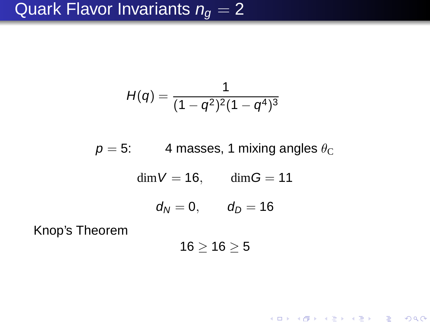## Quark Flavor Invariants  $n_q = 2$

$$
H(q)=\frac{1}{(1-q^2)^2(1-q^4)^3}
$$

 $p = 5$ : 4 masses, 1 mixing angles  $\theta_{\rm C}$ 

 $\dim V = 16$ ,  $\dim G = 11$ 

 $d_N = 0, \t d_D = 16$ 

Knop's Theorem

 $16 > 16 > 5$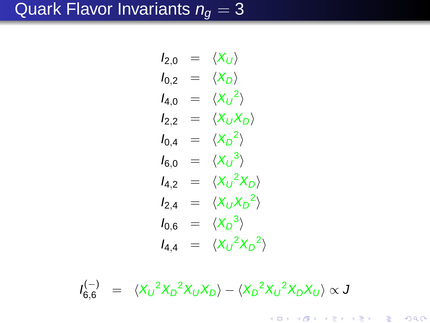# Quark Flavor Invariants  $n_g = 3$

$$
I_{2,0} = \langle X_U \rangle
$$
  
\n
$$
I_{0,2} = \langle X_D \rangle
$$
  
\n
$$
I_{4,0} = \langle X_U^2 \rangle
$$
  
\n
$$
I_{2,2} = \langle X_U X_D \rangle
$$
  
\n
$$
I_{0,4} = \langle X_D^2 \rangle
$$
  
\n
$$
I_{6,0} = \langle X_U^3 \rangle
$$
  
\n
$$
I_{4,2} = \langle X_U^2 X_D \rangle
$$
  
\n
$$
I_{2,4} = \langle X_U X_D^2 \rangle
$$
  
\n
$$
I_{0,6} = \langle X_D^3 \rangle
$$
  
\n
$$
I_{4,4} = \langle X_U^2 X_D^2 \rangle
$$

$$
I_{6,6}^{(-)} = \langle X_U^2 X_D^2 X_U X_D \rangle - \langle X_D^2 X_U^2 X_D X_U \rangle \propto J
$$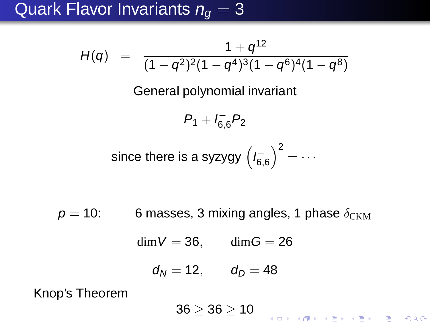## Quark Flavor Invariants  $n_q = 3$

$$
H(q) = \frac{1+q^{12}}{(1-q^2)^2(1-q^4)^3(1-q^6)^4(1-q^8)}
$$

General polynomial invariant

 $P_1 + I_{6,6} - P_2$ 

since there is a syzygy 
$$
\left(I_{6,6}^-\right)^2 = \cdots
$$

 $p = 10$ : 6 masses, 3 mixing angles, 1 phase  $\delta_{CKM}$ 

 $\dim V = 36$ ,  $\dim G = 26$ 

$$
d_N=12, \qquad d_D=48
$$

Knop's Theorem

 $36 \ge 36 \ge 10$ K ロ ▶ K 레 ▶ K 레 ≯ K 레 ≯ X - W D A Q Q Q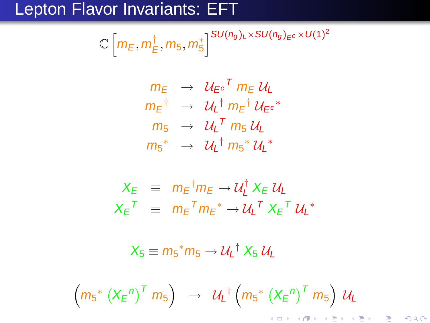# Lepton Flavor Invariants: EFT

$$
\mathbb{C}\left[m_E, m_E^{\dagger}, m_5, m_5^*\right]^{SU(n_g)_L \times SU(n_g)_{E^c} \times U(1)^2}
$$

$$
m_{E} \rightarrow \mathcal{U}_{E} e^{T} m_{E} \mathcal{U}_{L}
$$
\n
$$
m_{E}^{\dagger} \rightarrow \mathcal{U}_{L}^{\dagger} m_{E}^{\dagger} \mathcal{U}_{E} e^{*}
$$
\n
$$
m_{5} \rightarrow \mathcal{U}_{L}^{T} m_{5} \mathcal{U}_{L}
$$
\n
$$
m_{5}^{*} \rightarrow \mathcal{U}_{L}^{\dagger} m_{5}^{*} \mathcal{U}_{L}^{*}
$$

$$
X_E \equiv m_E^{\dagger} m_E \rightarrow U_L^{\dagger} X_E U_L
$$
  

$$
X_E^T \equiv m_E^T m_E^* \rightarrow U_L^T X_E^T U_L^*
$$

 $X_5 \equiv m_5^* m_5 \rightarrow \mathcal{U}_L^{\dagger} X_5 \mathcal{U}_L$ 

$$
\left(m_{5}^{*}\left(X_{E}^{n}\right)^{T}m_{5}\right) \rightarrow \mathcal{U}_{L}^{*}\left(m_{5}^{*}\left(X_{E}^{n}\right)^{T}m_{5}\right) \mathcal{U}_{L}
$$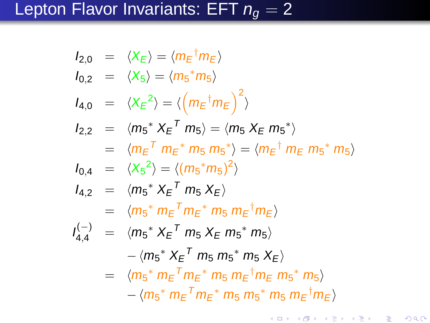$$
l_{2,0} = \langle X_E \rangle = \langle m_E^{\dagger} m_E \rangle
$$
  
\n
$$
l_{0,2} = \langle X_5 \rangle = \langle m_5^* m_5 \rangle
$$
  
\n
$$
l_{4,0} = \langle X_E^2 \rangle = \langle \left( m_E^{\dagger} m_E \right)^2 \rangle
$$
  
\n
$$
l_{2,2} = \langle m_5^* X_E^T m_5 \rangle = \langle m_5 X_E m_5^* \rangle
$$
  
\n
$$
= \langle m_E^T m_E^* m_5 m_5^* \rangle = \langle m_E^{\dagger} m_E m_5^* m_5 \rangle
$$
  
\n
$$
l_{0,4} = \langle X_5^2 \rangle = \langle (m_5^* m_5)^2 \rangle
$$
  
\n
$$
l_{4,2} = \langle m_5^* X_E^T m_5 X_E \rangle
$$
  
\n
$$
= \langle m_5^* m_E^T m_E^* m_5 m_E^{\dagger} m_E \rangle
$$
  
\n
$$
l_{4,4}^{(-)} = \langle m_5^* X_E^T m_5 X_E m_5^* m_5 \rangle
$$
  
\n
$$
- \langle m_5^* X_E^T m_5 m_E^{\dagger} m_E m_5^* m_5 \rangle
$$
  
\n
$$
= \langle m_5^* m_E^T m_E^* m_5 m_E^{\dagger} m_E m_5^* m_5 \rangle
$$
  
\n
$$
- \langle m_5^* m_E^T m_E^* m_5 m_5^* m_5 m_E^{\dagger} m_E \rangle
$$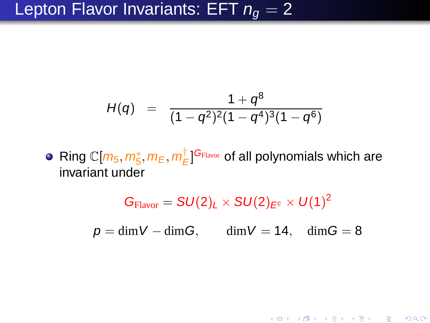# Lepton Flavor Invariants: EFT  $n_q = 2$

$$
H(q) = \frac{1+q^8}{(1-q^2)^2(1-q^4)^3(1-q^6)}
$$

Ring C[ $m_5, m_5^*, m_E, m_E^{\dagger}$  $\frac{1}{E}$ ] $\frac{G_{\textrm{Flavor}}}{E}$  of all polynomials which are invariant under

$$
G_{Flavor} = SU(2)_L \times SU(2)_{E^c} \times U(1)^2
$$

$$
\rho = \dim V - \dim G, \qquad \dim V = 14, \quad \dim G = 8
$$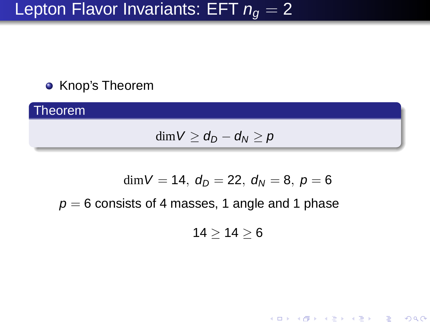# Lepton Flavor Invariants: EFT  $n_q = 2$

#### **• Knop's Theorem**

**Theorem** 

$$
\dim V \geq d_D - d_N \geq p
$$

$$
\dim V=14,\ d_D=22,\ d_N=8,\ p=6
$$

 $p = 6$  consists of 4 masses, 1 angle and 1 phase

$$
14\geq 14\geq 6
$$

メロメ メ御 メメ きょうくぼう こぼう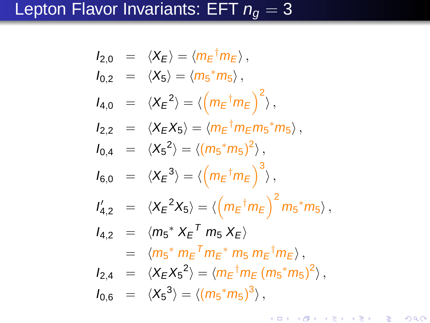$$
I_{2,0} = \langle X_E \rangle = \langle m_E^{\dagger} m_E \rangle,
$$
  
\n
$$
I_{0,2} = \langle X_5 \rangle = \langle m_5^* m_5 \rangle,
$$
  
\n
$$
I_{4,0} = \langle X_E^2 \rangle = \langle \left( m_E^{\dagger} m_E \right)^2 \rangle,
$$
  
\n
$$
I_{2,2} = \langle X_E X_5 \rangle = \langle m_E^{\dagger} m_E m_5^* m_5 \rangle,
$$
  
\n
$$
I_{0,4} = \langle X_5^2 \rangle = \langle (m_5^* m_5)^2 \rangle,
$$
  
\n
$$
I_{6,0} = \langle X_E^3 \rangle = \langle \left( m_E^{\dagger} m_E \right)^3 \rangle,
$$
  
\n
$$
I_{4,2} = \langle X_E^2 X_5 \rangle = \langle \left( m_E^{\dagger} m_E \right)^2 m_5^* m_5 \rangle,
$$
  
\n
$$
I_{4,2} = \langle m_5^* X_E^T m_5 X_E \rangle
$$
  
\n
$$
= \langle m_5^* m_E^T m_E^* m_5 m_E^{\dagger} m_E \rangle,
$$
  
\n
$$
I_{2,4} = \langle X_E X_5^2 \rangle = \langle m_E^{\dagger} m_E (m_5^* m_5)^2 \rangle,
$$
  
\n
$$
I_{0,6} = \langle X_5^3 \rangle = \langle (m_5^* m_5)^3 \rangle,
$$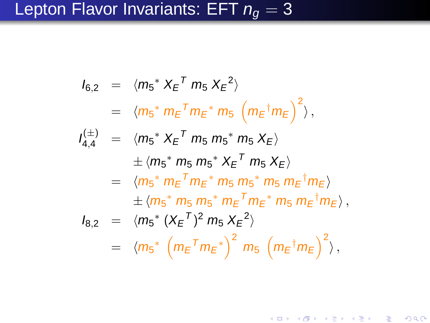$$
I_{6,2} = \langle m_{5}^{*} X_{E}^{T} m_{5} X_{E}^{2} \rangle
$$
  
\n
$$
= \langle m_{5}^{*} m_{E}^{T} m_{E}^{*} m_{5} (m_{E}^{\dagger} m_{E})^{2} \rangle,
$$
  
\n
$$
I_{4,4}^{(\pm)} = \langle m_{5}^{*} X_{E}^{T} m_{5} m_{5}^{*} m_{5} X_{E} \rangle
$$
  
\n
$$
\pm \langle m_{5}^{*} m_{5} m_{5}^{*} X_{E}^{T} m_{5} X_{E} \rangle
$$
  
\n
$$
= \langle m_{5}^{*} m_{E}^{T} m_{E}^{*} m_{5} m_{5}^{*} m_{5} m_{E}^{\dagger} m_{E} \rangle
$$
  
\n
$$
I_{8,2} = \langle m_{5}^{*} (X_{E}^{T})^{2} m_{5} X_{E}^{2} \rangle
$$
  
\n
$$
= \langle m_{5}^{*} (M_{E}^{T} m_{E}^{*})^{2} m_{5} (m_{E}^{\dagger} m_{E})^{2} \rangle,
$$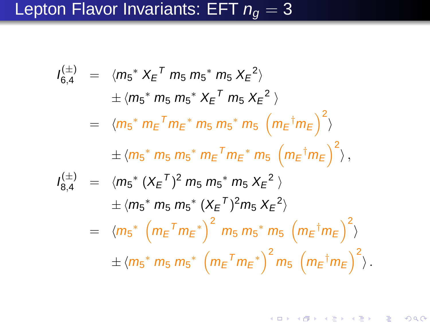$$
I_{6,4}^{(\pm)} = \langle m_{5}^{*} X_{E}^{T} m_{5} m_{5}^{*} m_{5} X_{E}^{2} \rangle
$$
  
\n
$$
\pm \langle m_{5}^{*} m_{5} m_{5}^{*} X_{E}^{T} m_{5} X_{E}^{2} \rangle
$$
  
\n
$$
= \langle m_{5}^{*} m_{E}^{T} m_{E}^{*} m_{5} m_{5}^{*} m_{5} (m_{E}^{\dagger} m_{E})^{2} \rangle
$$
  
\n
$$
\pm \langle m_{5}^{*} m_{5} m_{5}^{*} m_{E}^{T} m_{E}^{*} m_{5} (m_{E}^{\dagger} m_{E})^{2} \rangle,
$$
  
\n
$$
I_{8,4}^{(\pm)} = \langle m_{5}^{*} (X_{E}^{T})^{2} m_{5} m_{5}^{*} m_{5} X_{E}^{2} \rangle
$$
  
\n
$$
\pm \langle m_{5}^{*} m_{5} m_{5}^{*} (X_{E}^{T})^{2} m_{5} X_{E}^{2} \rangle
$$
  
\n
$$
= \langle m_{5}^{*} (m_{E}^{T} m_{E}^{*})^{2} m_{5} m_{5}^{*} m_{5} (m_{E}^{\dagger} m_{E})^{2} \rangle
$$
  
\n
$$
\pm \langle m_{5}^{*} m_{5} m_{5}^{*} (m_{E}^{T} m_{E}^{*})^{2} m_{5} (m_{E}^{\dagger} m_{E})^{2} \rangle.
$$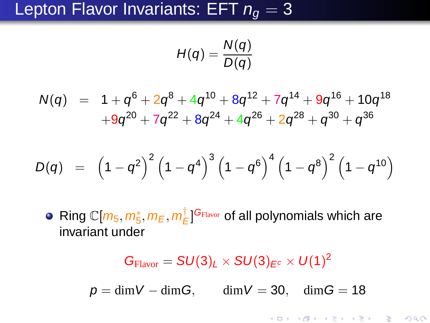## Lepton Flavor Invariants: EFT  $n_q = 3$

$$
H(q)=\frac{N(q)}{D(q)}
$$

 $N(q)$  =  $1+q^6+2q^8+4q^{10}+8q^{12}+7q^{14}+9q^{16}+10q^{18}$  $+9q^{20}+7q^{22}+8q^{24}+4q^{26}+2q^{28}+q^{30}+q^{36}$ 

$$
D(q) \;\; = \;\; \left(1-q^2\right)^2 \left(1-q^4\right)^3 \left(1-q^6\right)^4 \left(1-q^8\right)^2 \left(1-q^{10}\right)
$$

Ring C[ $m_5, m_5^*, m_E, m_E^{\dagger}$  $\frac{1}{E}$ ] $\frac{G_{\textrm{Flavor}}}{E}$  of all polynomials which are invariant under

> $G_{\text{Flavor}} = SU(3)_L \times SU(3)_{E^c} \times U(1)^2$  $p = \dim V - \dim G$ , dim  $V = 30$ , dim  $G = 18$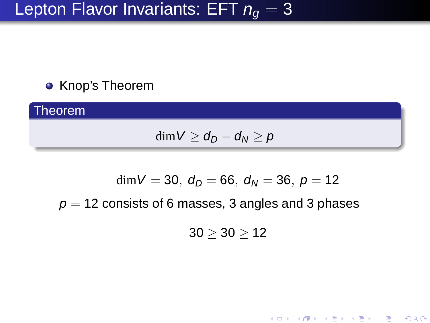# Lepton Flavor Invariants: EFT  $n_q = 3$

#### Knop's Theorem

Theorem  $\dim V \geq d_D - d_N \geq p$ 

$$
\dim V=30,\ d_D=66,\ d_N=36,\ p=12
$$

 $p = 12$  consists of 6 masses, 3 angles and 3 phases

 $30 \ge 30 \ge 12$ 

メロト メ御 トメ きょうメ きょうこき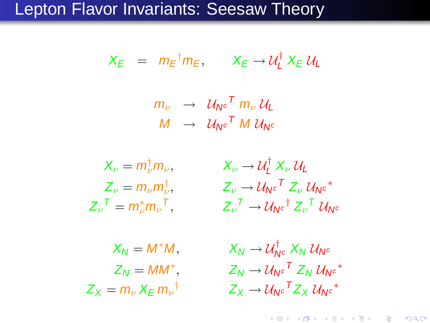#### Lepton Flavor Invariants: Seesaw Theory

$$
X_E = m_E^{\dagger} m_E, \qquad X_E \rightarrow U_L^{\dagger} X_E U_L
$$

 $m_\nu$   $\;\rightarrow\;\;{\cal U}_{{\sf N}^c}{}^{\mathcal T}$   $m_\nu\,{\cal U}_{{\sf L}}$  $M$   $\;\rightarrow\;\;{\cal U}_{{\sf N}^c}{}^{\mathcal T}$   ${\sf M}\;{\cal U}_{{\sf N}^c}$ 

 $X_v = m^{\dagger} m_v$  $Z_{\nu}{}^{T} = m_{\nu}^{*} m_{\nu}{}^{T}$ 

 $\psi^{\dagger}_{\nu} m_{\nu}, \qquad X_{\nu} \to \mathcal{U}^{\dagger}_{L}$  $L^{\dagger}$   $X_{\nu}$   $\mathcal{U}_{L}$  $Z_{\nu} = m_{\nu} m_{\nu}^{\dagger}, \qquad \qquad Z_{\nu} \rightarrow \mathcal{U}_{\mathsf{N}^{\mathsf{c}}}{}^{\mathsf{T}} \, Z_{\nu} \, \mathcal{U}_{\mathsf{N}^{\mathsf{c}}}{}^*$  $Z_{\nu}^{\ \ T} \rightarrow \mathcal{U}_{\mathsf{N}^{\mathsf{c}}}^{\dagger} \mathcal{Z}_{\nu}^{\ \ T} \mathcal{U}_{\mathsf{N}^{\mathsf{c}}}$ 

 $X_N = M^*M$ .  $Z_N = MM^*$ .  $Z_v = m_v X_E m_v^{\dagger}$ 

 $\stackrel{\dagger}{\mathsf{N}^{\mathsf{c}}} \raisebox{2pt}{\rm{$\mathsf{X}}}_{\mathsf{N}} \ \mathcal{U}_{{\mathsf{N}^{\mathsf{c}}}}$  $Z_N \rightarrow \mathcal{U}_N e^T Z_N \mathcal{U}_{N} e^*$  $^{\dagger} \qquad \qquad Z_{X} \rightarrow \mathcal{U}_{\mathsf{N}^c}{}^{\mathsf{T}} Z_{X} \, \mathcal{U}_{\mathsf{N}^c}{}^*$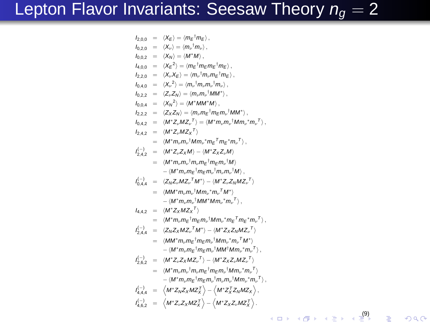# Lepton Flavor Invariants: Seesaw Theory  $n_g = 2$

$$
b_{2,0,0} = \langle X_E \rangle = \langle m_E^{-1} m_E \rangle, \nb_{0,2,2} = \langle X_n \rangle = \langle m'_1 m'_2 \rangle, \nb_{0,0,2} = \langle X_H \rangle = \langle m'_1 m_E m_E^{-1} m_E \rangle, \nb_{0,0,2} = \langle X_E^2 \rangle = \langle m_E^{-1} m_E m_E^{-1} m_E \rangle, \nb_{2,2,0} = \langle X_\nu X_E \rangle = \langle m_\nu m_\nu m_\nu^{-1} m_\nu \rangle, \nb_{0,2,2} = \langle Z_\nu Z_H \rangle = \langle m_\nu m_\nu M^\nu M \rangle, \nb_{0,2,2} = \langle Z_\nu Z_H \rangle = \langle m'_1 m_\nu m^2 M^\nu \rangle, \nb_{0,2,2} = \langle Z_\nu Z_H \rangle = \langle m'_1 m'_2 m'_1 M M^\nu \rangle, \nb_{0,2,2} = \langle Z_\nu Z_H \rangle = \langle m'_1 m'_2 m'_1 m'_1 M M^\nu \rangle, \nb_{0,2,2} = \langle M^* Z, M Z_\nu \rangle = \langle M^* m_\nu m_\nu^{-1} m_W^{-1} M^\nu \rangle, \nb_{0,2,2} = \langle M^* Z, M Z_\nu \rangle = \langle M^* m_\nu m_\nu^{-1} m_\nu^{-1} m_\nu^{-1} \rangle, \nb_{0,2,2} = \langle M^* Z, M \rangle = \langle M^* Z, Z \rangle M \rangle, \nb_{0,2,2} = \langle M^* Z, M \rangle = \langle M^* Z, Z_\nu M \rangle, \n\phi_{0,2,4} = \langle M^* Z, M Z_\nu \rangle M^\nu - \langle M^* Z, Z_\nu M Z_\nu \rangle, \n\phi_{0,2,4} = \langle Z_1 Z_\nu Z, M Z_\nu \rangle M^\nu M m_\nu m_\nu^{-1} M^\nu \rangle, \n\phi_{0,2,4} = \langle M^* m_\nu m_\nu^{-1} m_W \rangle M m_\nu^{-1} m_W \rangle M^\nu, \n\phi_{0,2,4} = \langle M^* Z, M Z_\nu \rangle M^\nu M m_\nu m_W \rangle M^\nu, \n\phi_{0,2,4} = \langle M^* Z, M Z_\nu \rangle M^\nu M m_\nu m_W \rangle M^\nu, \n\phi_{0,2,4} = \langle
$$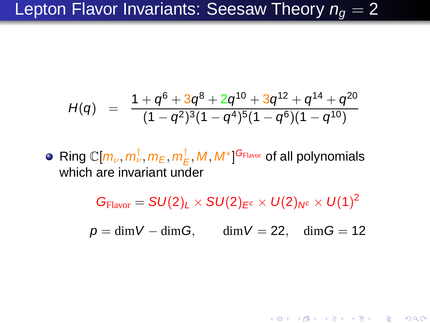## Lepton Flavor Invariants: Seesaw Theory  $n_q = 2$

$$
H(q) = \frac{1+q^6+3q^8+2q^{10}+3q^{12}+q^{14}+q^{20}}{(1-q^2)^3(1-q^4)^5(1-q^6)(1-q^{10})}
$$

 $\mathsf{Ring}\ \mathbb{C}[m_\nu,m^\dagger_\nu,m_\text{E},m^\dagger_\text{E}]$  $(\frac{\dagger}{E}, M, M^*]^{\mathbf{G}_{\text{Flavor}}}$  of all polynomials which are invariant under

 $G_{\rm{Flavor}} = SU(2)_L \times SU(2)_{E^c} \times U(2)_{N^c} \times U(1)^2$ 

 $p = \dim V - \dim G$ ,  $\dim V = 22$ ,  $\dim G = 12$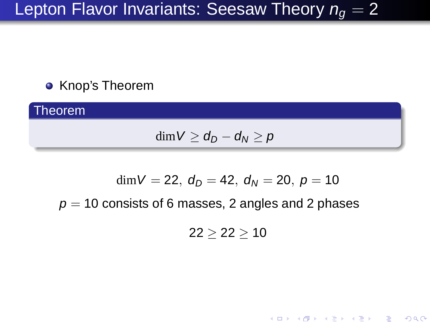# Lepton Flavor Invariants: Seesaw Theory  $n_q = 2$

#### **• Knop's Theorem**

Theorem

$$
\dim V \geq d_D - d_N \geq p
$$

$$
\dim V=22,\ d_D=42,\ d_N=20,\ p=10
$$

 $p = 10$  consists of 6 masses, 2 angles and 2 phases

 $22 \ge 22 \ge 10$ 

メロト メ御 ドメ きょうくぼう こぼう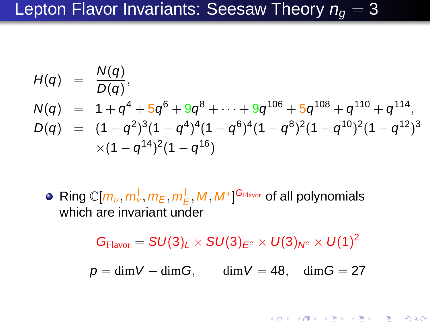## Lepton Flavor Invariants: Seesaw Theory  $n_{q} = 3$

$$
H(q) = \frac{N(q)}{D(q)},
$$
  
\n
$$
N(q) = 1 + q^4 + 5q^6 + 9q^8 + \dots + 9q^{106} + 5q^{108} + q^{110} + q^{114},
$$
  
\n
$$
D(q) = (1 - q^2)^3(1 - q^4)^4(1 - q^6)^4(1 - q^8)^2(1 - q^{10})^2(1 - q^{12})^3
$$
  
\n
$$
\times (1 - q^{14})^2(1 - q^{16})
$$

 $\mathsf{Ring}\ \mathbb{C}[m_\nu,m^\dagger_\nu,m_\text{E},m^\dagger_\text{E}]$  $(\frac{\dagger}{E}, M, M^*]^{\mathbf{G}_{\text{Flavor}}}$  of all polynomials which are invariant under

 $G_{\text{Flavor}} = SU(3)_L \times SU(3)_{E^c} \times U(3)_{N^c} \times U(1)^2$ 

 $p = \dim V - \dim G$ , dim  $V = 48$ , dim  $G = 27$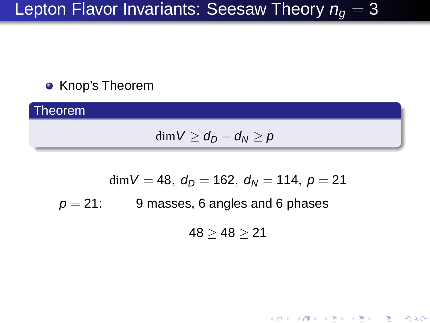# Lepton Flavor Invariants: Seesaw Theory  $n_g = 3$

#### **• Knop's Theorem**

**Theorem** 

$$
\dim V \geq d_D - d_N \geq p
$$

$$
dim V = 48
$$
,  $d_D = 162$ ,  $d_N = 114$ ,  $p = 21$   
 $p = 21$ : 9 masses, 6 angles and 6 phases

 $48 \ge 48 \ge 21$ 

メロト メ御 ドメ きょうくぼう こぼう